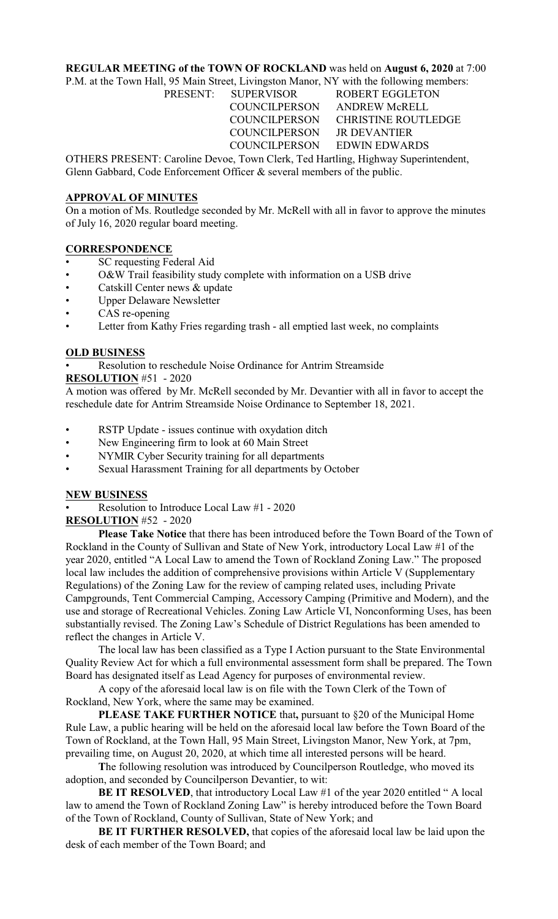### **REGULAR MEETING of the TOWN OF ROCKLAND** was held on **August 6, 2020** at 7:00

P.M. at the Town Hall, 95 Main Street, Livingston Manor, NY with the following members:

PRESENT: SUPERVISOR ROBERT EGGLETON COUNCILPERSON ANDREW McRELL COUNCILPERSON CHRISTINE ROUTLEDGE COUNCILPERSON JR DEVANTIER COUNCILPERSON EDWIN EDWARDS

OTHERS PRESENT: Caroline Devoe, Town Clerk, Ted Hartling, Highway Superintendent, Glenn Gabbard, Code Enforcement Officer & several members of the public.

## **APPROVAL OF MINUTES**

On a motion of Ms. Routledge seconded by Mr. McRell with all in favor to approve the minutes of July 16, 2020 regular board meeting.

# **CORRESPONDENCE**

- SC requesting Federal Aid
- O&W Trail feasibility study complete with information on a USB drive
- Catskill Center news & update
- Upper Delaware Newsletter
- CAS re-opening
- Letter from Kathy Fries regarding trash all emptied last week, no complaints

# **OLD BUSINESS**

• Resolution to reschedule Noise Ordinance for Antrim Streamside

**RESOLUTION** #51 - 2020

A motion was offered by Mr. McRell seconded by Mr. Devantier with all in favor to accept the reschedule date for Antrim Streamside Noise Ordinance to September 18, 2021.

- RSTP Update issues continue with oxydation ditch
- New Engineering firm to look at 60 Main Street
- NYMIR Cyber Security training for all departments
- Sexual Harassment Training for all departments by October

### **NEW BUSINESS**

• Resolution to Introduce Local Law #1 - 2020

### **RESOLUTION** #52 - 2020

**Please Take Notice** that there has been introduced before the Town Board of the Town of Rockland in the County of Sullivan and State of New York, introductory Local Law #1 of the year 2020, entitled "A Local Law to amend the Town of Rockland Zoning Law." The proposed local law includes the addition of comprehensive provisions within Article V (Supplementary Regulations) of the Zoning Law for the review of camping related uses, including Private Campgrounds, Tent Commercial Camping, Accessory Camping (Primitive and Modern), and the use and storage of Recreational Vehicles. Zoning Law Article VI, Nonconforming Uses, has been substantially revised. The Zoning Law's Schedule of District Regulations has been amended to reflect the changes in Article V.

The local law has been classified as a Type I Action pursuant to the State Environmental Quality Review Act for which a full environmental assessment form shall be prepared. The Town Board has designated itself as Lead Agency for purposes of environmental review.

A copy of the aforesaid local law is on file with the Town Clerk of the Town of Rockland, New York, where the same may be examined.

**PLEASE TAKE FURTHER NOTICE** that**,** pursuant to §20 of the Municipal Home Rule Law, a public hearing will be held on the aforesaid local law before the Town Board of the Town of Rockland, at the Town Hall, 95 Main Street, Livingston Manor, New York, at 7pm, prevailing time, on August 20, 2020, at which time all interested persons will be heard.

 **T**he following resolution was introduced by Councilperson Routledge, who moved its adoption, and seconded by Councilperson Devantier, to wit:

**BE IT RESOLVED**, that introductory Local Law #1 of the year 2020 entitled " A local law to amend the Town of Rockland Zoning Law" is hereby introduced before the Town Board of the Town of Rockland, County of Sullivan, State of New York; and

**BE IT FURTHER RESOLVED,** that copies of the aforesaid local law be laid upon the desk of each member of the Town Board; and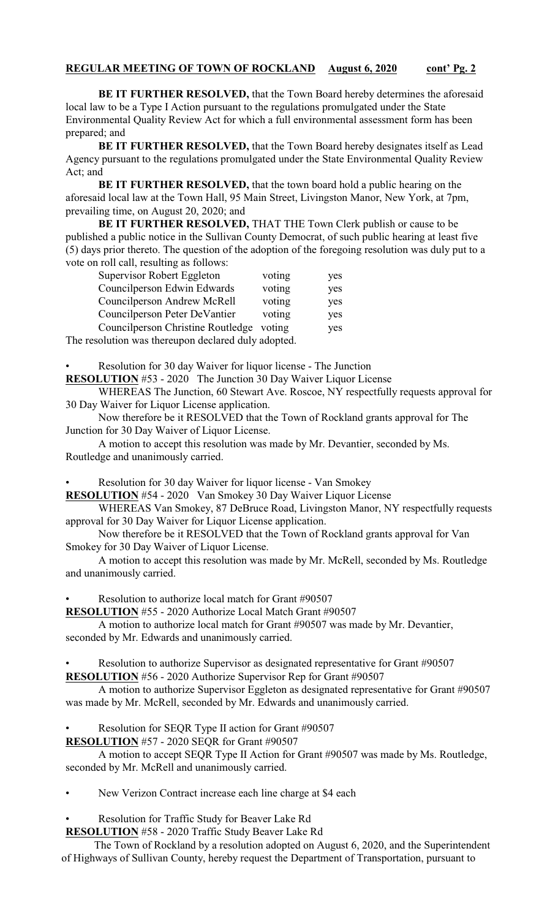#### **REGULAR MEETING OF TOWN OF ROCKLAND August 6, 2020 cont' Pg. 2**

**BE IT FURTHER RESOLVED,** that the Town Board hereby determines the aforesaid local law to be a Type I Action pursuant to the regulations promulgated under the State Environmental Quality Review Act for which a full environmental assessment form has been prepared; and

**BE IT FURTHER RESOLVED,** that the Town Board hereby designates itself as Lead Agency pursuant to the regulations promulgated under the State Environmental Quality Review Act; and

**BE IT FURTHER RESOLVED, that the town board hold a public hearing on the** aforesaid local law at the Town Hall, 95 Main Street, Livingston Manor, New York, at 7pm, prevailing time, on August 20, 2020; and

**BE IT FURTHER RESOLVED,** THAT THE Town Clerk publish or cause to be published a public notice in the Sullivan County Democrat, of such public hearing at least five (5) days prior thereto. The question of the adoption of the foregoing resolution was duly put to a vote on roll call, resulting as follows:

| Supervisor Robert Eggleton                          | voting | yes |  |
|-----------------------------------------------------|--------|-----|--|
| Councilperson Edwin Edwards                         | voting | yes |  |
| Councilperson Andrew McRell                         | voting | yes |  |
| Councilperson Peter DeVantier                       | voting | yes |  |
| Councilperson Christine Routledge                   | voting | yes |  |
| The resolution was thereupon declared duly adopted. |        |     |  |

• Resolution for 30 day Waiver for liquor license - The Junction

**RESOLUTION** #53 - 2020 The Junction 30 Day Waiver Liquor License

WHEREAS The Junction, 60 Stewart Ave. Roscoe, NY respectfully requests approval for 30 Day Waiver for Liquor License application.

Now therefore be it RESOLVED that the Town of Rockland grants approval for The Junction for 30 Day Waiver of Liquor License.

A motion to accept this resolution was made by Mr. Devantier, seconded by Ms. Routledge and unanimously carried.

• Resolution for 30 day Waiver for liquor license - Van Smokey

**RESOLUTION** #54 - 2020 Van Smokey 30 Day Waiver Liquor License

WHEREAS Van Smokey, 87 DeBruce Road, Livingston Manor, NY respectfully requests approval for 30 Day Waiver for Liquor License application.

Now therefore be it RESOLVED that the Town of Rockland grants approval for Van Smokey for 30 Day Waiver of Liquor License.

A motion to accept this resolution was made by Mr. McRell, seconded by Ms. Routledge and unanimously carried.

Resolution to authorize local match for Grant #90507

**RESOLUTION** #55 - 2020 Authorize Local Match Grant #90507

A motion to authorize local match for Grant #90507 was made by Mr. Devantier, seconded by Mr. Edwards and unanimously carried.

• Resolution to authorize Supervisor as designated representative for Grant #90507 **RESOLUTION** #56 - 2020 Authorize Supervisor Rep for Grant #90507

A motion to authorize Supervisor Eggleton as designated representative for Grant #90507 was made by Mr. McRell, seconded by Mr. Edwards and unanimously carried.

• Resolution for SEQR Type II action for Grant #90507

**RESOLUTION** #57 - 2020 SEQR for Grant #90507

A motion to accept SEQR Type II Action for Grant #90507 was made by Ms. Routledge, seconded by Mr. McRell and unanimously carried.

New Verizon Contract increase each line charge at \$4 each

• Resolution for Traffic Study for Beaver Lake Rd

**RESOLUTION** #58 - 2020 Traffic Study Beaver Lake Rd

The Town of Rockland by a resolution adopted on August 6, 2020, and the Superintendent of Highways of Sullivan County, hereby request the Department of Transportation, pursuant to